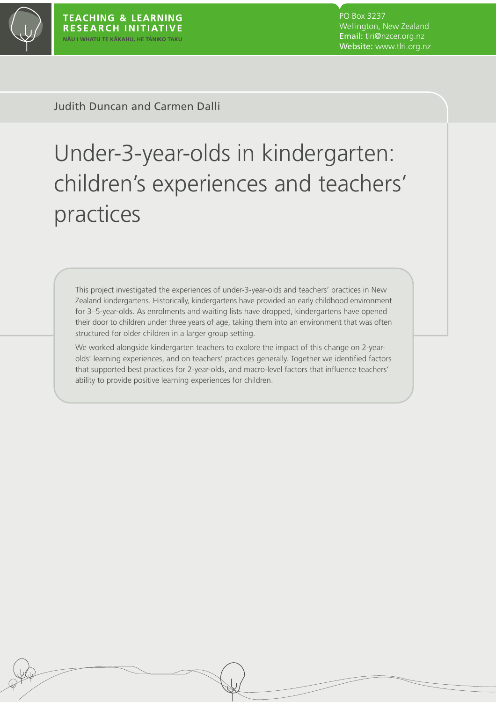

PO Box 3237 Wellington, New Zealand Email: tlri@nzcer.org.nz Website: www.tlri.org.nz

Judith Duncan and Carmen Dalli

# Under-3-year-olds in kindergarten: children's experiences and teachers' practices

This project investigated the experiences of under-3-year-olds and teachers' practices in New Zealand kindergartens. Historically, kindergartens have provided an early childhood environment for 3–5-year-olds. As enrolments and waiting lists have dropped, kindergartens have opened their door to children under three years of age, taking them into an environment that was often structured for older children in a larger group setting.

We worked alongside kindergarten teachers to explore the impact of this change on 2-yearolds' learning experiences, and on teachers' practices generally. Together we identified factors that supported best practices for 2-year-olds, and macro-level factors that influence teachers' ability to provide positive learning experiences for children.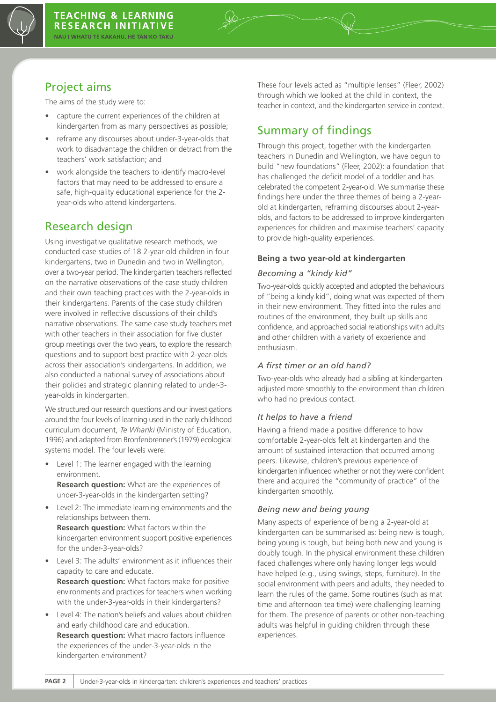

# Project aims

The aims of the study were to:

- capture the current experiences of the children at kindergarten from as many perspectives as possible;
- reframe any discourses about under-3-year-olds that work to disadvantage the children or detract from the teachers' work satisfaction; and
- work alongside the teachers to identify macro-level factors that may need to be addressed to ensure a safe, high-quality educational experience for the 2 year-olds who attend kindergartens.

# Research design

Using investigative qualitative research methods, we conducted case studies of 18 2-year-old children in four kindergartens, two in Dunedin and two in Wellington, over a two-year period. The kindergarten teachers reflected on the narrative observations of the case study children and their own teaching practices with the 2-year-olds in their kindergartens. Parents of the case study children were involved in reflective discussions of their child's narrative observations. The same case study teachers met with other teachers in their association for five cluster group meetings over the two years, to explore the research questions and to support best practice with 2-year-olds across their association's kindergartens. In addition, we also conducted a national survey of associations about their policies and strategic planning related to under-3 year-olds in kindergarten.

We structured our research questions and our investigations around the four levels of learning used in the early childhood curriculum document, *Te Whāriki* (Ministry of Education, 1996) and adapted from Bronfenbrenner's (1979) ecological systems model. The four levels were:

- Level 1: The learner engaged with the learning environment. **Research question:** What are the experiences of under-3-year-olds in the kindergarten setting?
- Level 2: The immediate learning environments and the relationships between them. **Research question:** What factors within the kindergarten environment support positive experiences for the under-3-year-olds?
- Level 3: The adults' environment as it influences their capacity to care and educate. **Research question:** What factors make for positive environments and practices for teachers when working with the under-3-year-olds in their kindergartens?
- Level 4: The nation's beliefs and values about children and early childhood care and education. **Research question:** What macro factors influence the experiences of the under-3-year-olds in the kindergarten environment?

These four levels acted as "multiple lenses" (Fleer, 2002) through which we looked at the child in context, the teacher in context, and the kindergarten service in context.

# Summary of findings

Through this project, together with the kindergarten teachers in Dunedin and Wellington, we have begun to build "new foundations" (Fleer, 2002): a foundation that has challenged the deficit model of a toddler and has celebrated the competent 2-year-old. We summarise these findings here under the three themes of being a 2-yearold at kindergarten, reframing discourses about 2-yearolds, and factors to be addressed to improve kindergarten experiences for children and maximise teachers' capacity to provide high-quality experiences.

#### **Being a two year-old at kindergarten**

#### *Becoming a "kindy kid"*

Two-year-olds quickly accepted and adopted the behaviours of "being a kindy kid", doing what was expected of them in their new environment. They fitted into the rules and routines of the environment, they built up skills and confidence, and approached social relationships with adults and other children with a variety of experience and enthusiasm.

#### *A first timer or an old hand?*

Two-year-olds who already had a sibling at kindergarten adjusted more smoothly to the environment than children who had no previous contact.

#### *It helps to have a friend*

Having a friend made a positive difference to how comfortable 2-year-olds felt at kindergarten and the amount of sustained interaction that occurred among peers. Likewise, children's previous experience of kindergarten influenced whether or not they were confident there and acquired the "community of practice" of the kindergarten smoothly.

#### *Being new and being young*

Many aspects of experience of being a 2-year-old at kindergarten can be summarised as: being new is tough, being young is tough, but being both new and young is doubly tough. In the physical environment these children faced challenges where only having longer legs would have helped (e.g., using swings, steps, furniture). In the social environment with peers and adults, they needed to learn the rules of the game. Some routines (such as mat time and afternoon tea time) were challenging learning for them. The presence of parents or other non-teaching adults was helpful in guiding children through these experiences.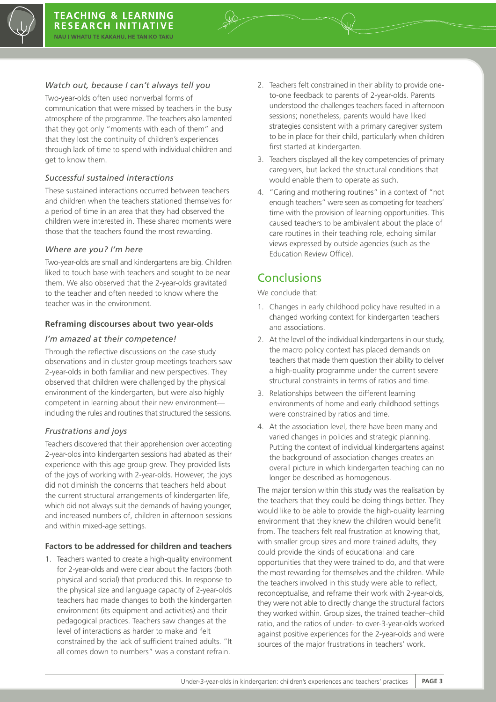

#### *Watch out, because I can't always tell you*

Two-year-olds often used nonverbal forms of communication that were missed by teachers in the busy atmosphere of the programme. The teachers also lamented that they got only "moments with each of them" and that they lost the continuity of children's experiences through lack of time to spend with individual children and get to know them.

#### *Successful sustained interactions*

These sustained interactions occurred between teachers and children when the teachers stationed themselves for a period of time in an area that they had observed the children were interested in. These shared moments were those that the teachers found the most rewarding.

#### *Where are you? I'm here*

Two-year-olds are small and kindergartens are big. Children liked to touch base with teachers and sought to be near them. We also observed that the 2-year-olds gravitated to the teacher and often needed to know where the teacher was in the environment.

#### **Reframing discourses about two year-olds**

#### *I'm amazed at their competence!*

Through the reflective discussions on the case study observations and in cluster group meetings teachers saw 2-year-olds in both familiar and new perspectives. They observed that children were challenged by the physical environment of the kindergarten, but were also highly competent in learning about their new environment including the rules and routines that structured the sessions.

#### *Frustrations and joys*

Teachers discovered that their apprehension over accepting 2-year-olds into kindergarten sessions had abated as their experience with this age group grew. They provided lists of the joys of working with 2-year-olds. However, the joys did not diminish the concerns that teachers held about the current structural arrangements of kindergarten life, which did not always suit the demands of having younger, and increased numbers of, children in afternoon sessions and within mixed-age settings.

#### **Factors to be addressed for children and teachers**

1. Teachers wanted to create a high-quality environment for 2-year-olds and were clear about the factors (both physical and social) that produced this. In response to the physical size and language capacity of 2-year-olds teachers had made changes to both the kindergarten environment (its equipment and activities) and their pedagogical practices. Teachers saw changes at the level of interactions as harder to make and felt constrained by the lack of sufficient trained adults. "It all comes down to numbers" was a constant refrain.

- 2. Teachers felt constrained in their ability to provide oneto-one feedback to parents of 2-year-olds. Parents understood the challenges teachers faced in afternoon sessions; nonetheless, parents would have liked strategies consistent with a primary caregiver system to be in place for their child, particularly when children first started at kindergarten.
- 3. Teachers displayed all the key competencies of primary caregivers, but lacked the structural conditions that would enable them to operate as such.
- 4. "Caring and mothering routines" in a context of "not enough teachers" were seen as competing for teachers' time with the provision of learning opportunities. This caused teachers to be ambivalent about the place of care routines in their teaching role, echoing similar views expressed by outside agencies (such as the Education Review Office).

# Conclusions

We conclude that:

- 1. Changes in early childhood policy have resulted in a changed working context for kindergarten teachers and associations.
- 2. At the level of the individual kindergartens in our study, the macro policy context has placed demands on teachers that made them question their ability to deliver a high-quality programme under the current severe structural constraints in terms of ratios and time.
- 3. Relationships between the different learning environments of home and early childhood settings were constrained by ratios and time.
- 4. At the association level, there have been many and varied changes in policies and strategic planning. Putting the context of individual kindergartens against the background of association changes creates an overall picture in which kindergarten teaching can no longer be described as homogenous.

The major tension within this study was the realisation by the teachers that they could be doing things better. They would like to be able to provide the high-quality learning environment that they knew the children would benefit from. The teachers felt real frustration at knowing that, with smaller group sizes and more trained adults, they could provide the kinds of educational and care opportunities that they were trained to do, and that were the most rewarding for themselves and the children. While the teachers involved in this study were able to reflect, reconceptualise, and reframe their work with 2-year-olds, they were not able to directly change the structural factors they worked within. Group sizes, the trained teacher–child ratio, and the ratios of under- to over-3-year-olds worked against positive experiences for the 2-year-olds and were sources of the major frustrations in teachers' work.